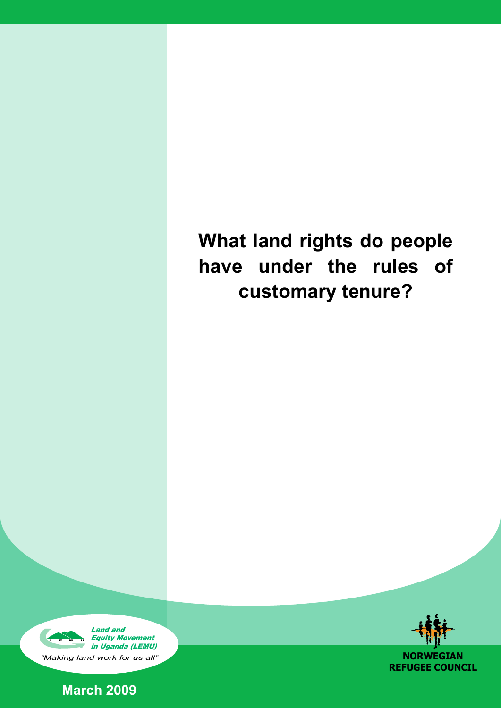# **What land rights do people have under the rules of customary tenure?**







**NORWEGIAN REFUGEE COUNCIL**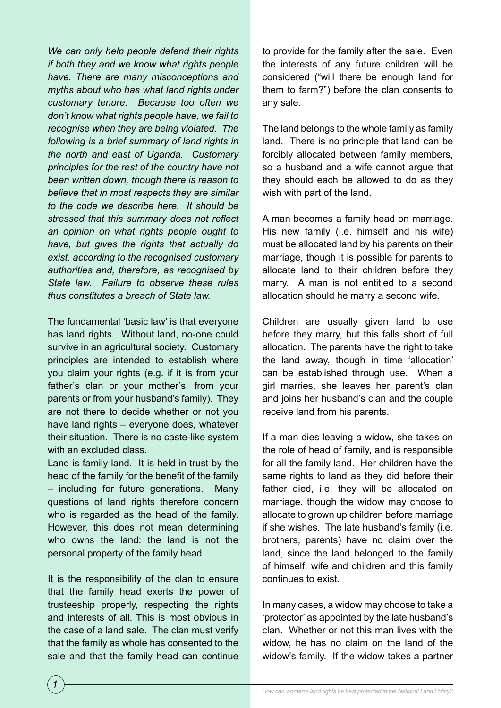*We can only help people defend their rights if both they and we know what rights people have. There are many misconceptions and myths about who has what land rights under customary tenure. Because too often we don't know what rights people have, we fail to recognise when they are being violated. The following is a brief summary of land rights in the north and east of Uganda. Customary principles for the rest of the country have not been written down, though there is reason to believe that in most respects they are similar to the code we describe here. It should be stressed that this summary does not reflect an opinion on what rights people ought to have, but gives the rights that actually do exist, according to the recognised customary authorities and, therefore, as recognised by State law. Failure to observe these rules thus constitutes a breach of State law.* 

The fundamental 'basic law' is that everyone has land rights. Without land, no-one could survive in an agricultural society. Customary principles are intended to establish where you claim your rights (e.g. if it is from your father's clan or your mother's, from your parents or from your husband's family). They are not there to decide whether or not you have land rights – everyone does, whatever their situation. There is no caste-like system with an excluded class.

Land is family land. It is held in trust by the head of the family for the benefit of the family – including for future generations. Many questions of land rights therefore concern who is regarded as the head of the family. However, this does not mean determining who owns the land: the land is not the personal property of the family head.

It is the responsibility of the clan to ensure that the family head exerts the power of trusteeship properly, respecting the rights and interests of all. This is most obvious in the case of a land sale. The clan must verify that the family as whole has consented to the sale and that the family head can continue

to provide for the family after the sale. Even the interests of any future children will be considered ("will there be enough land for them to farm?") before the clan consents to any sale.

The land belongs to the whole family as family land. There is no principle that land can be forcibly allocated between family members, so a husband and a wife cannot argue that they should each be allowed to do as they wish with part of the land.

A man becomes a family head on marriage. His new family (i.e. himself and his wife) must be allocated land by his parents on their marriage, though it is possible for parents to allocate land to their children before they marry. A man is not entitled to a second allocation should he marry a second wife.

Children are usually given land to use before they marry, but this falls short of full allocation. The parents have the right to take the land away, though in time 'allocation' can be established through use. When a girl marries, she leaves her parent's clan and joins her husband's clan and the couple receive land from his parents.

If a man dies leaving a widow, she takes on the role of head of family, and is responsible for all the family land. Her children have the same rights to land as they did before their father died, i.e. they will be allocated on marriage, though the widow may choose to allocate to grown up children before marriage if she wishes. The late husband's family (i.e. brothers, parents) have no claim over the land, since the land belonged to the family of himself, wife and children and this family continues to exist.

In many cases, a widow may choose to take a 'protector' as appointed by the late husband's clan. Whether or not this man lives with the widow, he has no claim on the land of the widow's family. If the widow takes a partner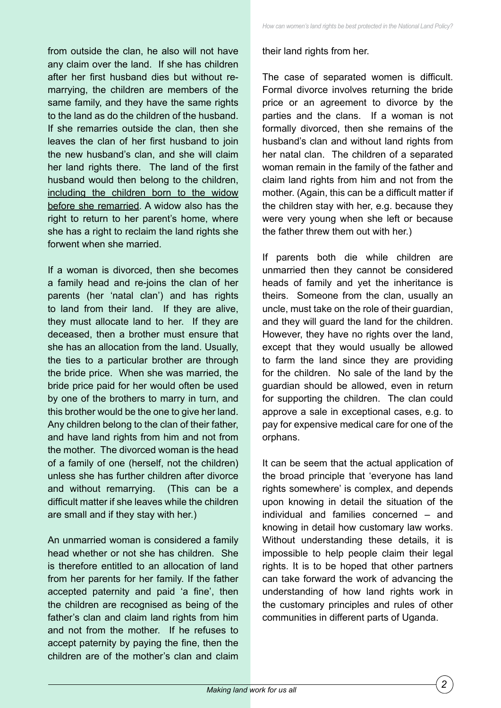from outside the clan, he also will not have any claim over the land. If she has children after her first husband dies but without remarrying, the children are members of the same family, and they have the same rights to the land as do the children of the husband. If she remarries outside the clan, then she leaves the clan of her first husband to join the new husband's clan, and she will claim her land rights there. The land of the first husband would then belong to the children, including the children born to the widow before she remarried. A widow also has the right to return to her parent's home, where she has a right to reclaim the land rights she forwent when she married.

If a woman is divorced, then she becomes a family head and re-joins the clan of her parents (her 'natal clan') and has rights to land from their land. If they are alive, they must allocate land to her. If they are deceased, then a brother must ensure that she has an allocation from the land. Usually, the ties to a particular brother are through the bride price. When she was married, the bride price paid for her would often be used by one of the brothers to marry in turn, and this brother would be the one to give her land. Any children belong to the clan of their father, and have land rights from him and not from the mother. The divorced woman is the head of a family of one (herself, not the children) unless she has further children after divorce and without remarrying. (This can be a difficult matter if she leaves while the children are small and if they stay with her.)

An unmarried woman is considered a family head whether or not she has children. She is therefore entitled to an allocation of land from her parents for her family. If the father accepted paternity and paid 'a fine', then the children are recognised as being of the father's clan and claim land rights from him and not from the mother. If he refuses to accept paternity by paying the fine, then the children are of the mother's clan and claim their land rights from her.

The case of separated women is difficult. Formal divorce involves returning the bride price or an agreement to divorce by the parties and the clans. If a woman is not formally divorced, then she remains of the husband's clan and without land rights from her natal clan. The children of a separated woman remain in the family of the father and claim land rights from him and not from the mother. (Again, this can be a difficult matter if the children stay with her, e.g. because they were very young when she left or because the father threw them out with her.)

If parents both die while children are unmarried then they cannot be considered heads of family and yet the inheritance is theirs. Someone from the clan, usually an uncle, must take on the role of their guardian, and they will guard the land for the children. However, they have no rights over the land, except that they would usually be allowed to farm the land since they are providing for the children. No sale of the land by the guardian should be allowed, even in return for supporting the children. The clan could approve a sale in exceptional cases, e.g. to pay for expensive medical care for one of the orphans.

It can be seem that the actual application of the broad principle that 'everyone has land rights somewhere' is complex, and depends upon knowing in detail the situation of the individual and families concerned – and knowing in detail how customary law works. Without understanding these details, it is impossible to help people claim their legal rights. It is to be hoped that other partners can take forward the work of advancing the understanding of how land rights work in the customary principles and rules of other communities in different parts of Uganda.